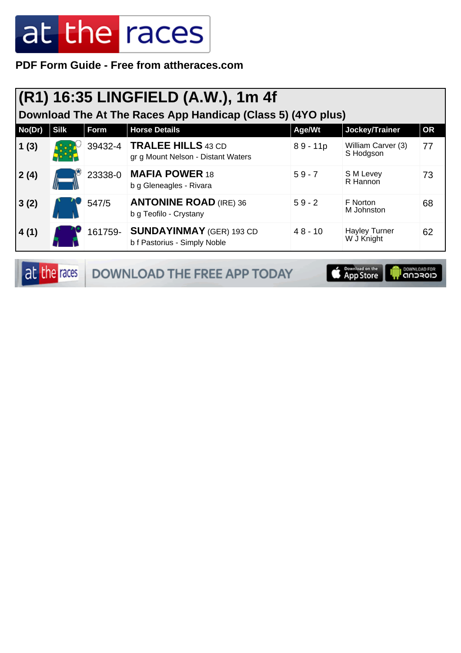**PDF Form Guide - Free from attheraces.com**

| Download The At The Races App Handicap (Class 5) (4YO plus) |                                                                                      |         |                                                                    |            |                                    |    |  |  |
|-------------------------------------------------------------|--------------------------------------------------------------------------------------|---------|--------------------------------------------------------------------|------------|------------------------------------|----|--|--|
| No(Dr)                                                      | <b>Silk</b><br><b>Horse Details</b><br>Form<br>Jockey/Trainer<br>Age/Wt<br><b>OR</b> |         |                                                                    |            |                                    |    |  |  |
| 1(3)                                                        |                                                                                      |         | 39432-4   TRALEE HILLS 43 CD<br>gr g Mount Nelson - Distant Waters | $89 - 11p$ | William Carver (3)<br>S Hodgson    | 77 |  |  |
| 2(4)                                                        |                                                                                      | 23338-0 | <b>MAFIA POWER 18</b><br>b g Gleneagles - Rivara                   | $59 - 7$   | S M Levey<br>R Hannon              | 73 |  |  |
| 3(2)                                                        |                                                                                      | 547/5   | <b>ANTONINE ROAD (IRE) 36</b><br>b g Teofilo - Crystany            | $59 - 2$   | F Norton<br>M Johnston             | 68 |  |  |
| 4(1)                                                        |                                                                                      | 161759- | <b>SUNDAYINMAY</b> (GER) 193 CD<br>b f Pastorius - Simply Noble    | $48 - 10$  | <b>Hayley Turner</b><br>W J Knight | 62 |  |  |

|  | at the races   DOWNLOAD THE FREE APP TODAY | App Store   CONVINCIAD FOR |  |
|--|--------------------------------------------|----------------------------|--|
|--|--------------------------------------------|----------------------------|--|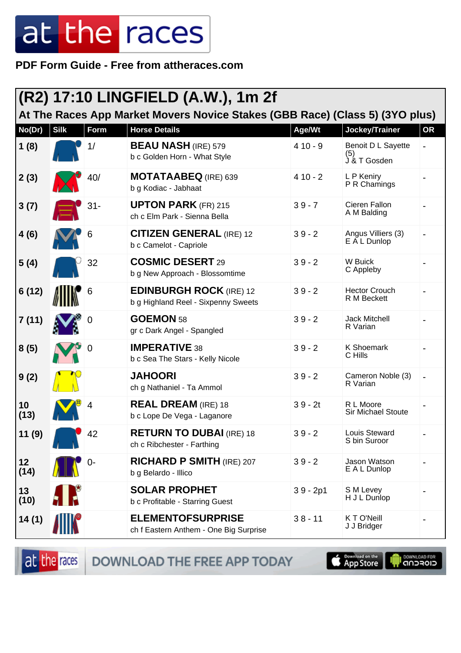PDF Form Guide - Free from attheraces.com

| (R2) 17:10 LINGFIELD (A.W.), 1m 2f<br>At The Races App Market Movers Novice Stakes (GBB Race) (Class 5) (3YO plus) |             |       |                                                                       |            |                                           |                          |  |  |
|--------------------------------------------------------------------------------------------------------------------|-------------|-------|-----------------------------------------------------------------------|------------|-------------------------------------------|--------------------------|--|--|
| No(Dr)                                                                                                             | <b>Silk</b> | Form  | <b>Horse Details</b>                                                  | Age/Wt     | Jockey/Trainer                            | OR                       |  |  |
| 1(8)                                                                                                               |             | 1/    | <b>BEAU NASH</b> (IRE) 579<br>b c Golden Horn - What Style            | $410 - 9$  | Benoit D L Sayette<br>(5)<br>J & T Gosden |                          |  |  |
| 2(3)                                                                                                               |             | 40/   | <b>MOTATAABEQ</b> (IRE) 639<br>b g Kodiac - Jabhaat                   | $410 - 2$  | L P Keniry<br>P R Chamings                |                          |  |  |
| 3(7)                                                                                                               |             | $31-$ | <b>UPTON PARK (FR) 215</b><br>ch c Elm Park - Sienna Bella            | $39 - 7$   | Cieren Fallon<br>A M Balding              |                          |  |  |
| 4(6)                                                                                                               |             | 6     | <b>CITIZEN GENERAL (IRE) 12</b><br>b c Camelot - Capriole             | $39 - 2$   | Angus Villiers (3)<br>E A L Dunlop        |                          |  |  |
| 5(4)                                                                                                               |             | 32    | <b>COSMIC DESERT 29</b><br>b g New Approach - Blossomtime             | $39 - 2$   | W Buick<br>C Appleby                      |                          |  |  |
| 6(12)                                                                                                              |             | 6     | <b>EDINBURGH ROCK (IRE) 12</b><br>b g Highland Reel - Sixpenny Sweets | $39 - 2$   | <b>Hector Crouch</b><br>R M Beckett       |                          |  |  |
| 7(11)                                                                                                              |             | 0     | GOEMON 58<br>gr c Dark Angel - Spangled                               | $39 - 2$   | <b>Jack Mitchell</b><br>R Varian          |                          |  |  |
| 8(5)                                                                                                               |             | 0     | <b>IMPERATIVE 38</b><br>b c Sea The Stars - Kelly Nicole              | $39 - 2$   | <b>K Shoemark</b><br>C Hills              |                          |  |  |
| 9(2)                                                                                                               |             |       | <b>JAHOORI</b><br>ch g Nathaniel - Ta Ammol                           | $39 - 2$   | Cameron Noble (3)<br>R Varian             | $\overline{\phantom{a}}$ |  |  |
| 10<br>(13)                                                                                                         |             |       | <b>REAL DREAM</b> (IRE) 18<br>b c Lope De Vega - Laganore             | $39 - 2t$  | R L Moore<br><b>Sir Michael Stoute</b>    |                          |  |  |
| 11(9)                                                                                                              |             | 42    | <b>RETURN TO DUBAI</b> (IRE) 18<br>ch c Ribchester - Farthing         | $39 - 2$   | Louis Steward<br>S bin Suroor             |                          |  |  |
| 12<br>(14)                                                                                                         |             | 0-    | <b>RICHARD P SMITH (IRE) 207</b><br>b g Belardo - Illico              | $39 - 2$   | Jason Watson<br>E A L Dunlop              |                          |  |  |
| 13<br>(10)                                                                                                         | 1 R         |       | <b>SOLAR PROPHET</b><br>b c Profitable - Starring Guest               | $39 - 2p1$ | S M Levey<br>H J L Dunlop                 |                          |  |  |
| 14(1)                                                                                                              |             |       | <b>ELEMENTOFSURPRISE</b><br>ch f Eastern Anthem - One Big Surprise    | $38 - 11$  | KTO'Neill<br>J J Bridger                  |                          |  |  |

at the races

DOWNLOAD THE FREE APP TODAY

App Store

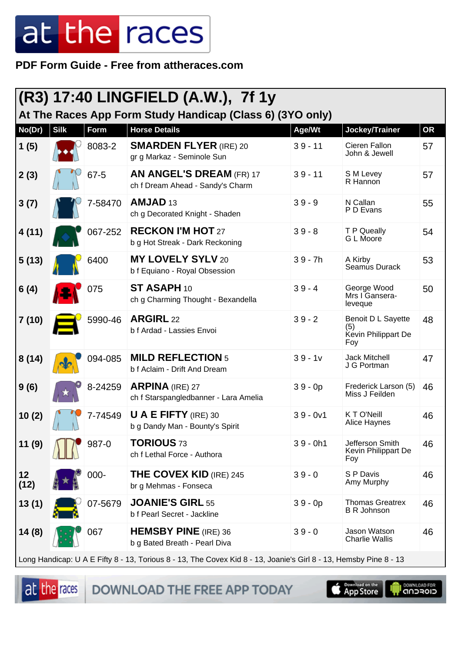**PDF Form Guide - Free from attheraces.com**

| (R3) 17:40 LINGFIELD (A.W.), 7f 1y<br>At The Races App Form Study Handicap (Class 6) (3YO only)                   |             |             |                                                                     |            |                                                         |           |  |
|-------------------------------------------------------------------------------------------------------------------|-------------|-------------|---------------------------------------------------------------------|------------|---------------------------------------------------------|-----------|--|
| No(Dr)                                                                                                            | <b>Silk</b> | <b>Form</b> | <b>Horse Details</b>                                                | Age/Wt     | Jockey/Trainer                                          | <b>OR</b> |  |
| 1(5)                                                                                                              |             | 8083-2      | <b>SMARDEN FLYER (IRE) 20</b><br>gr g Markaz - Seminole Sun         | $39 - 11$  | Cieren Fallon<br>John & Jewell                          | 57        |  |
| 2(3)                                                                                                              |             | 67-5        | <b>AN ANGEL'S DREAM (FR) 17</b><br>ch f Dream Ahead - Sandy's Charm | $39 - 11$  | S M Levey<br>R Hannon                                   | 57        |  |
| 3(7)                                                                                                              |             | 7-58470     | AMJAD <sub>13</sub><br>ch g Decorated Knight - Shaden               | $39 - 9$   | N Callan<br>P D Evans                                   | 55        |  |
| 4(11)                                                                                                             |             | 067-252     | <b>RECKON I'M HOT 27</b><br>b g Hot Streak - Dark Reckoning         | $39 - 8$   | T P Queally<br>G L Moore                                | 54        |  |
| 5(13)                                                                                                             |             | 6400        | <b>MY LOVELY SYLV 20</b><br>b f Equiano - Royal Obsession           | $39 - 7h$  | A Kirby<br>Seamus Durack                                | 53        |  |
| 6(4)                                                                                                              |             | 075         | ST ASAPH 10<br>ch g Charming Thought - Bexandella                   | $39 - 4$   | George Wood<br>Mrs I Gansera-<br>leveque                | 50        |  |
| 7(10)                                                                                                             |             | 5990-46     | <b>ARGIRL</b> 22<br>b f Ardad - Lassies Envoi                       | $39 - 2$   | Benoit D L Sayette<br>(5)<br>Kevin Philippart De<br>Foy | 48        |  |
| 8(14)                                                                                                             |             | 094-085     | <b>MILD REFLECTION 5</b><br>b f Aclaim - Drift And Dream            | $39 - 1v$  | <b>Jack Mitchell</b><br>J G Portman                     | 47        |  |
| 9(6)                                                                                                              |             | 8-24259     | <b>ARPINA</b> (IRE) 27<br>ch f Starspangledbanner - Lara Amelia     | $39 - 0p$  | Frederick Larson (5)<br>Miss J Feilden                  | 46        |  |
| 10(2)                                                                                                             |             | 7-74549     | <b>U A E FIFTY</b> (IRE) 30<br>b g Dandy Man - Bounty's Spirit      | $39 - 0v1$ | K T O'Neill<br>Alice Haynes                             | 46        |  |
| 11(9)                                                                                                             |             | 987-0       | <b>TORIOUS 73</b><br>ch f Lethal Force - Authora                    | $39 - 0h1$ | Jefferson Smith<br>Kevin Philippart De<br>Foy           | 46        |  |
| 12<br>(12)                                                                                                        |             | 000-        | <b>THE COVEX KID (IRE) 245</b><br>br g Mehmas - Fonseca             | $39 - 0$   | S P Davis<br>Amy Murphy                                 | 46        |  |
| 13(1)                                                                                                             |             | 07-5679     | <b>JOANIE'S GIRL 55</b><br>b f Pearl Secret - Jackline              | $39 - 0p$  | <b>Thomas Greatrex</b><br><b>B R Johnson</b>            | 46        |  |
| 14(8)                                                                                                             |             | 067         | <b>HEMSBY PINE</b> (IRE) 36<br>b g Bated Breath - Pearl Diva        | $39 - 0$   | Jason Watson<br><b>Charlie Wallis</b>                   | 46        |  |
| Long Handicap: U A E Fifty 8 - 13, Torious 8 - 13, The Covex Kid 8 - 13, Joanie's Girl 8 - 13, Hemsby Pine 8 - 13 |             |             |                                                                     |            |                                                         |           |  |

at the races DOWNLOAD THE FREE APP TODAY



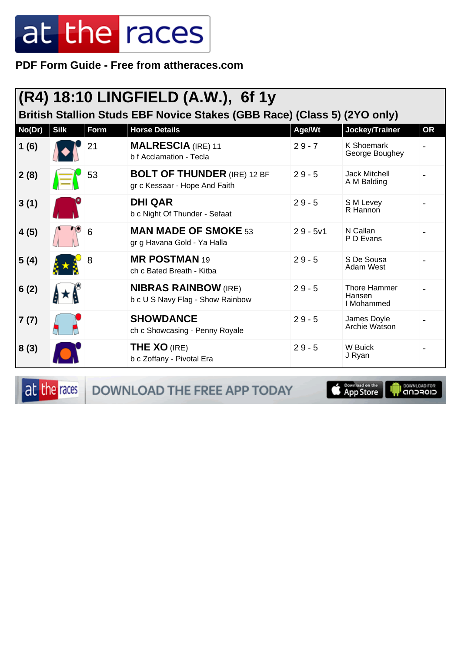PDF Form Guide - Free from attheraces.com

| $(R4)$ 18:10 LINGFIELD (A.W.), 6f 1y<br>British Stallion Studs EBF Novice Stakes (GBB Race) (Class 5) (2YO only) |             |      |                                                                     |            |                                      |           |  |  |
|------------------------------------------------------------------------------------------------------------------|-------------|------|---------------------------------------------------------------------|------------|--------------------------------------|-----------|--|--|
| No(Dr)                                                                                                           | <b>Silk</b> | Form | <b>Horse Details</b>                                                | Age/Wt     | Jockey/Trainer                       | <b>OR</b> |  |  |
| 1(6)                                                                                                             |             | 21   | <b>MALRESCIA (IRE) 11</b><br>b f Acclamation - Tecla                | $29 - 7$   | <b>K Shoemark</b><br>George Boughey  |           |  |  |
| 2(8)                                                                                                             |             | 53   | <b>BOLT OF THUNDER (IRE) 12 BF</b><br>gr c Kessaar - Hope And Faith | $29 - 5$   | <b>Jack Mitchell</b><br>A M Balding  |           |  |  |
| 3(1)                                                                                                             |             |      | <b>DHI QAR</b><br>b c Night Of Thunder - Sefaat                     | $29 - 5$   | S M Levey<br>R Hannon                |           |  |  |
| 4(5)                                                                                                             |             | 6    | <b>MAN MADE OF SMOKE 53</b><br>gr g Havana Gold - Ya Halla          | $29 - 5v1$ | N Callan<br>P D Evans                |           |  |  |
| 5(4)                                                                                                             |             | 8    | <b>MR POSTMAN 19</b><br>ch c Bated Breath - Kitba                   | $29 - 5$   | S De Sousa<br>Adam West              |           |  |  |
| 6(2)                                                                                                             |             |      | <b>NIBRAS RAINBOW (IRE)</b><br>b c U S Navy Flag - Show Rainbow     | $29 - 5$   | Thore Hammer<br>Hansen<br>I Mohammed |           |  |  |
| 7(7)                                                                                                             |             |      | <b>SHOWDANCE</b><br>ch c Showcasing - Penny Royale                  | $29 - 5$   | James Doyle<br>Archie Watson         |           |  |  |
| 8(3)                                                                                                             |             |      | <b>THE XO (IRE)</b><br>b c Zoffany - Pivotal Era                    | $29 - 5$   | W Buick<br>J Ryan                    |           |  |  |

at the races

DOWNLOAD THE FREE APP TODAY

**Example of the App Store** 

**I DOWNLOAD FOR**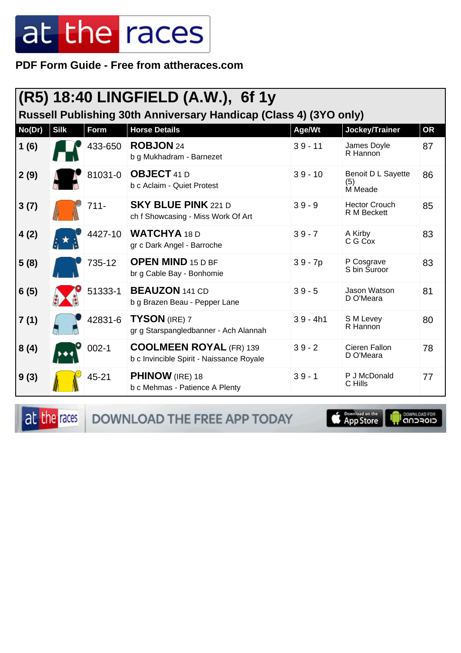**PDF Form Guide - Free from attheraces.com**

| (R5) 18:40 LINGFIELD (A.W.), 6f 1y<br>Russell Publishing 30th Anniversary Handicap (Class 4) (3YO only) |             |           |                                                                            |            |                                      |           |  |
|---------------------------------------------------------------------------------------------------------|-------------|-----------|----------------------------------------------------------------------------|------------|--------------------------------------|-----------|--|
| No(Dr)                                                                                                  | <b>Silk</b> | Form      | <b>Horse Details</b>                                                       | Age/Wt     | Jockey/Trainer                       | <b>OR</b> |  |
| 1(6)                                                                                                    |             | 433-650   | ROBJON 24<br>b g Mukhadram - Barnezet                                      | $39 - 11$  | James Doyle<br>R Hannon              | 87        |  |
| 2(9)                                                                                                    |             | 81031-0   | <b>OBJECT</b> 41 D<br>b c Aclaim - Quiet Protest                           | $39 - 10$  | Benoit D L Sayette<br>(5)<br>M Meade | 86        |  |
| 3(7)                                                                                                    |             | 711-      | <b>SKY BLUE PINK 221 D</b><br>ch f Showcasing - Miss Work Of Art           | $39 - 9$   | <b>Hector Crouch</b><br>R M Beckett  | 85        |  |
| 4(2)                                                                                                    |             | 4427-10   | <b>WATCHYA 18 D</b><br>gr c Dark Angel - Barroche                          | $39 - 7$   | A Kirby<br>C G Cox                   | 83        |  |
| 5(8)                                                                                                    |             | 735-12    | <b>OPEN MIND 15 D BF</b><br>br g Cable Bay - Bonhomie                      | $39 - 7p$  | P Cosgrave<br>S bin Suroor           | 83        |  |
| 6(5)                                                                                                    |             | 51333-1   | <b>BEAUZON</b> 141 CD<br>b g Brazen Beau - Pepper Lane                     | $39 - 5$   | Jason Watson<br>D O'Meara            | 81        |  |
| 7(1)                                                                                                    |             | 42831-6   | <b>TYSON</b> (IRE) 7<br>gr g Starspangledbanner - Ach Alannah              | $39 - 4h1$ | S M Levey<br>R Hannon                | 80        |  |
| 8(4)                                                                                                    |             | $002 - 1$ | <b>COOLMEEN ROYAL (FR) 139</b><br>b c Invincible Spirit - Naissance Royale | $39 - 2$   | Cieren Fallon<br>D O'Meara           | 78        |  |
| 9(3)                                                                                                    |             | 45-21     | <b>PHINOW</b> (IRE) 18<br>b c Mehmas - Patience A Plenty                   | $39 - 1$   | P J McDonald<br>C Hills              | 77        |  |

at the races DOWNLOAD THE FREE APP TODAY

App Store

**OOWNLOAD FOR**